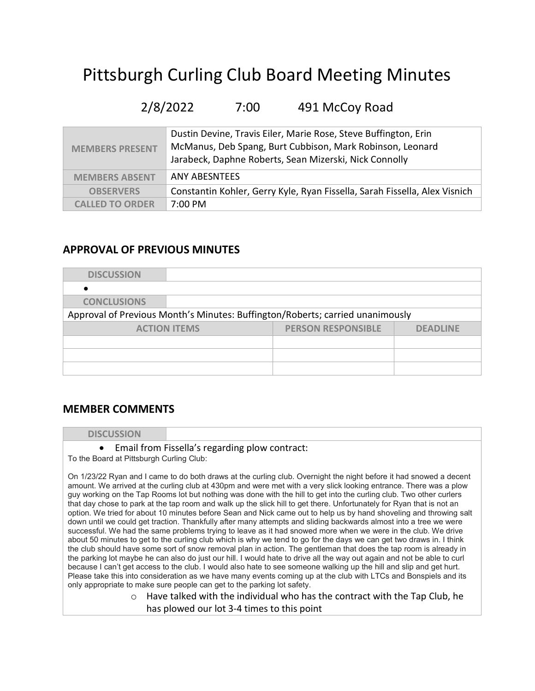# Pittsburgh Curling Club Board Meeting Minutes

# 2/8/2022 7:00 491 McCoy Road

| <b>MEMBERS PRESENT</b> | Dustin Devine, Travis Eiler, Marie Rose, Steve Buffington, Erin<br>McManus, Deb Spang, Burt Cubbison, Mark Robinson, Leonard<br>Jarabeck, Daphne Roberts, Sean Mizerski, Nick Connolly |
|------------------------|----------------------------------------------------------------------------------------------------------------------------------------------------------------------------------------|
| <b>MEMBERS ABSENT</b>  | ANY ABESNTEES                                                                                                                                                                          |
| <b>OBSERVERS</b>       | Constantin Kohler, Gerry Kyle, Ryan Fissella, Sarah Fissella, Alex Visnich                                                                                                             |
| <b>CALLED TO ORDER</b> | $7:00 \text{ PM}$                                                                                                                                                                      |

### APPROVAL OF PREVIOUS MINUTES

| <b>DISCUSSION</b>  |                     |                                                                               |                 |
|--------------------|---------------------|-------------------------------------------------------------------------------|-----------------|
|                    |                     |                                                                               |                 |
| <b>CONCLUSIONS</b> |                     |                                                                               |                 |
|                    |                     | Approval of Previous Month's Minutes: Buffington/Roberts; carried unanimously |                 |
|                    | <b>ACTION ITEMS</b> | <b>PERSON RESPONSIBLE</b>                                                     | <b>DEADLINE</b> |
|                    |                     |                                                                               |                 |
|                    |                     |                                                                               |                 |
|                    |                     |                                                                               |                 |

### MEMBER COMMENTS

### **DISCUSSION**

### Email from Fissella's regarding plow contract:

To the Board at Pittsburgh Curling Club:

On 1/23/22 Ryan and I came to do both draws at the curling club. Overnight the night before it had snowed a decent amount. We arrived at the curling club at 430pm and were met with a very slick looking entrance. There was a plow guy working on the Tap Rooms lot but nothing was done with the hill to get into the curling club. Two other curlers that day chose to park at the tap room and walk up the slick hill to get there. Unfortunately for Ryan that is not an option. We tried for about 10 minutes before Sean and Nick came out to help us by hand shoveling and throwing salt down until we could get traction. Thankfully after many attempts and sliding backwards almost into a tree we were successful. We had the same problems trying to leave as it had snowed more when we were in the club. We drive about 50 minutes to get to the curling club which is why we tend to go for the days we can get two draws in. I think the club should have some sort of snow removal plan in action. The gentleman that does the tap room is already in the parking lot maybe he can also do just our hill. I would hate to drive all the way out again and not be able to curl because I can't get access to the club. I would also hate to see someone walking up the hill and slip and get hurt. Please take this into consideration as we have many events coming up at the club with LTCs and Bonspiels and its only appropriate to make sure people can get to the parking lot safety.

> $\circ$  Have talked with the individual who has the contract with the Tap Club, he has plowed our lot 3-4 times to this point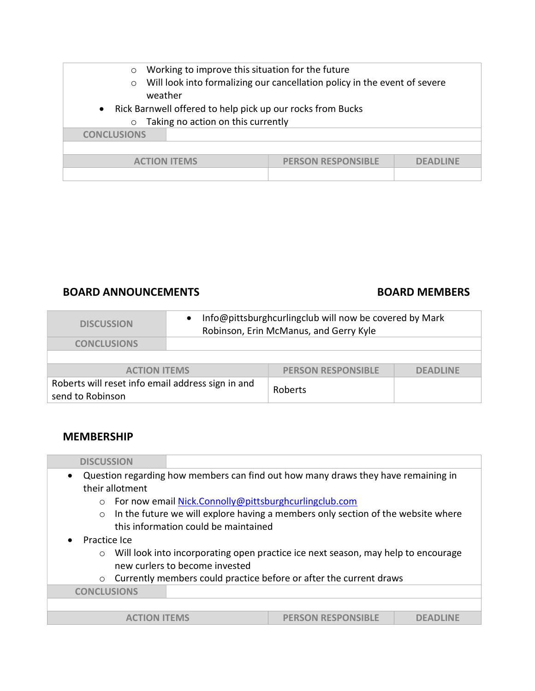| Working to improve this situation for the future<br>$\circ$<br>$\circ$<br>weather                                        | Will look into formalizing our cancellation policy in the event of severe |                 |
|--------------------------------------------------------------------------------------------------------------------------|---------------------------------------------------------------------------|-----------------|
| Rick Barnwell offered to help pick up our rocks from Bucks<br>$\bullet$<br>Taking no action on this currently<br>$\circ$ |                                                                           |                 |
| <b>CONCLUSIONS</b>                                                                                                       |                                                                           |                 |
|                                                                                                                          |                                                                           |                 |
| <b>ACTION ITEMS</b>                                                                                                      | <b>PERSON RESPONSIBLE</b>                                                 | <b>DEADLINE</b> |
|                                                                                                                          |                                                                           |                 |

### BOARD ANNOUNCEMENTS BOARD MEMBERS

| <b>DISCUSSION</b>                                                     | Info@pittsburghcurlingclub will now be covered by Mark<br>Robinson, Erin McManus, and Gerry Kyle |                 |
|-----------------------------------------------------------------------|--------------------------------------------------------------------------------------------------|-----------------|
| <b>CONCLUSIONS</b>                                                    |                                                                                                  |                 |
|                                                                       |                                                                                                  |                 |
| <b>ACTION ITEMS</b>                                                   | <b>PERSON RESPONSIBLE</b>                                                                        | <b>DEADLINE</b> |
| Roberts will reset info email address sign in and<br>send to Robinson | Roberts                                                                                          |                 |

### MEMBERSHIP

| <b>DISCUSSION</b>              |                                      |                                                                                   |  |
|--------------------------------|--------------------------------------|-----------------------------------------------------------------------------------|--|
| $\bullet$                      |                                      | Question regarding how members can find out how many draws they have remaining in |  |
| their allotment                |                                      |                                                                                   |  |
| $\Omega$                       |                                      | For now email Nick.Connolly@pittsburghcurlingclub.com                             |  |
| $\circ$                        |                                      | In the future we will explore having a members only section of the website where  |  |
|                                | this information could be maintained |                                                                                   |  |
| Practice Ice                   |                                      |                                                                                   |  |
| $\circ$                        |                                      | Will look into incorporating open practice ice next season, may help to encourage |  |
| new curlers to become invested |                                      |                                                                                   |  |
|                                |                                      | o Currently members could practice before or after the current draws              |  |
| <b>CONCLUSIONS</b>             |                                      |                                                                                   |  |
|                                |                                      |                                                                                   |  |
|                                |                                      | <b>PERSON RESPONSIBLE</b>                                                         |  |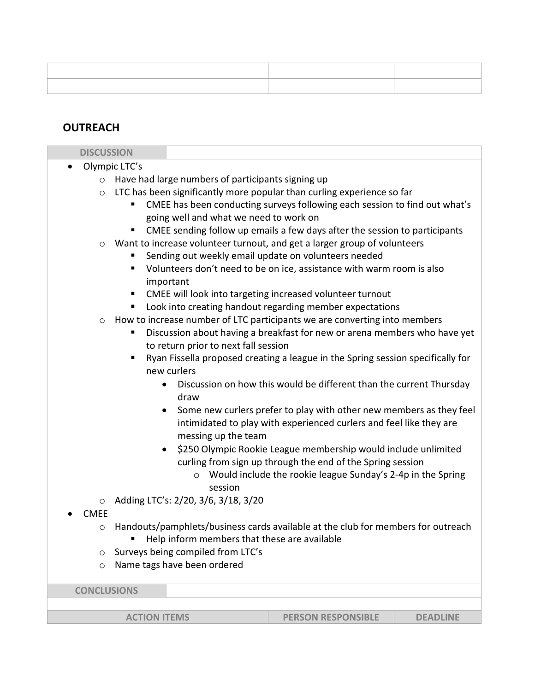| ______ |  |
|--------|--|

## **OUTREACH**

| <b>DISCUSSION</b>  |                                                                                                                                                         |
|--------------------|---------------------------------------------------------------------------------------------------------------------------------------------------------|
| $\bullet$          | Olympic LTC's                                                                                                                                           |
| $\circ$            | Have had large numbers of participants signing up                                                                                                       |
| $\circ$            | LTC has been significantly more popular than curling experience so far                                                                                  |
|                    | CMEE has been conducting surveys following each session to find out what's<br>going well and what we need to work on                                    |
|                    | CMEE sending follow up emails a few days after the session to participants                                                                              |
| $\circ$            | Want to increase volunteer turnout, and get a larger group of volunteers<br>Sending out weekly email update on volunteers needed                        |
|                    | Volunteers don't need to be on ice, assistance with warm room is also<br>important                                                                      |
|                    | CMEE will look into targeting increased volunteer turnout                                                                                               |
|                    | Look into creating handout regarding member expectations                                                                                                |
| $\circ$            | How to increase number of LTC participants we are converting into members                                                                               |
|                    | Discussion about having a breakfast for new or arena members who have yet<br>п<br>to return prior to next fall session                                  |
|                    | Ryan Fissella proposed creating a league in the Spring session specifically for<br>new curlers                                                          |
|                    | Discussion on how this would be different than the current Thursday<br>draw                                                                             |
|                    | Some new curlers prefer to play with other new members as they feel<br>$\bullet$<br>intimidated to play with experienced curlers and feel like they are |
|                    | messing up the team                                                                                                                                     |
|                    | \$250 Olympic Rookie League membership would include unlimited<br>$\bullet$<br>curling from sign up through the end of the Spring session               |
|                    | Would include the rookie league Sunday's 2-4p in the Spring<br>$\circ$<br>session                                                                       |
| $\circ$            | Adding LTC's: 2/20, 3/6, 3/18, 3/20                                                                                                                     |
| <b>CMEE</b>        |                                                                                                                                                         |
| $\circ$            | Handouts/pamphlets/business cards available at the club for members for outreach                                                                        |
|                    | Help inform members that these are available                                                                                                            |
| $\circ$            | Surveys being compiled from LTC's                                                                                                                       |
| $\circ$            | Name tags have been ordered                                                                                                                             |
| <b>CONCLUSIONS</b> |                                                                                                                                                         |
|                    |                                                                                                                                                         |

ACTION ITEMS **PERSON RESPONSIBLE** DEADLINE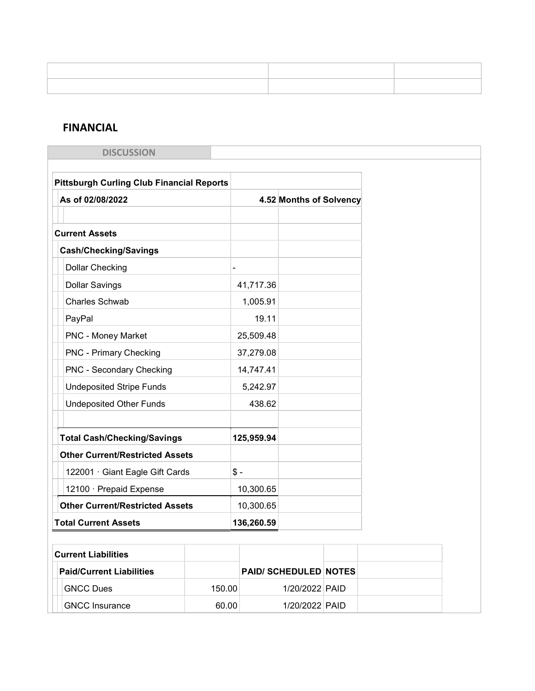# FINANCIAL

| <b>DISCUSSION</b>                                |        |            |                              |  |
|--------------------------------------------------|--------|------------|------------------------------|--|
|                                                  |        |            |                              |  |
| <b>Pittsburgh Curling Club Financial Reports</b> |        |            |                              |  |
| As of 02/08/2022                                 |        |            | 4.52 Months of Solvency      |  |
|                                                  |        |            |                              |  |
| <b>Current Assets</b>                            |        |            |                              |  |
| <b>Cash/Checking/Savings</b>                     |        |            |                              |  |
| <b>Dollar Checking</b>                           |        |            |                              |  |
| <b>Dollar Savings</b>                            |        | 41,717.36  |                              |  |
| <b>Charles Schwab</b>                            |        | 1,005.91   |                              |  |
| PayPal                                           |        | 19.11      |                              |  |
| <b>PNC - Money Market</b>                        |        | 25,509.48  |                              |  |
| <b>PNC - Primary Checking</b>                    |        | 37,279.08  |                              |  |
| <b>PNC - Secondary Checking</b>                  |        | 14,747.41  |                              |  |
| <b>Undeposited Stripe Funds</b>                  |        | 5,242.97   |                              |  |
| <b>Undeposited Other Funds</b>                   |        | 438.62     |                              |  |
|                                                  |        |            |                              |  |
| <b>Total Cash/Checking/Savings</b>               |        | 125,959.94 |                              |  |
| <b>Other Current/Restricted Assets</b>           |        |            |                              |  |
| 122001 · Giant Eagle Gift Cards                  | $$ -$  |            |                              |  |
| 12100 · Prepaid Expense                          |        | 10,300.65  |                              |  |
| <b>Other Current/Restricted Assets</b>           |        | 10,300.65  |                              |  |
| <b>Total Current Assets</b>                      |        | 136,260.59 |                              |  |
|                                                  |        |            |                              |  |
| <b>Current Liabilities</b>                       |        |            |                              |  |
| <b>Paid/Current Liabilities</b>                  |        |            | <b>PAID/ SCHEDULED NOTES</b> |  |
| <b>GNCC Dues</b>                                 | 150.00 |            | 1/20/2022 PAID               |  |
| <b>GNCC Insurance</b>                            | 60.00  |            | 1/20/2022 PAID               |  |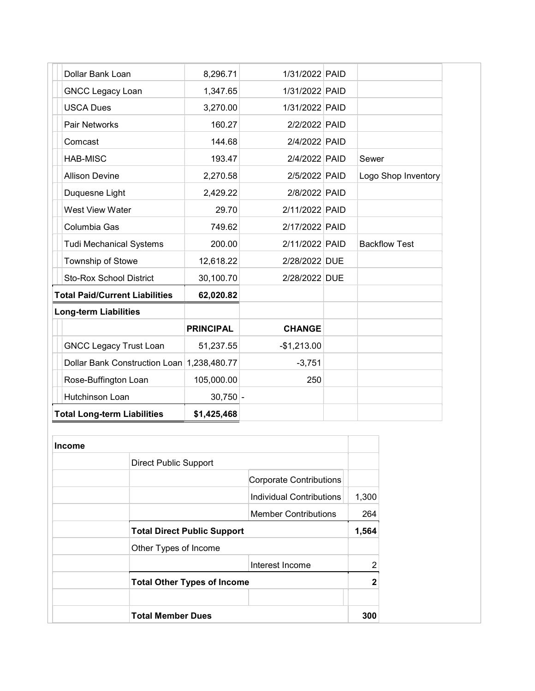| Dollar Bank Loan                           | 8,296.71         | 1/31/2022 PAID |                      |
|--------------------------------------------|------------------|----------------|----------------------|
| <b>GNCC Legacy Loan</b>                    | 1,347.65         | 1/31/2022 PAID |                      |
| <b>USCA Dues</b>                           | 3,270.00         | 1/31/2022 PAID |                      |
| Pair Networks                              | 160.27           | 2/2/2022 PAID  |                      |
| Comcast                                    | 144.68           | 2/4/2022 PAID  |                      |
| <b>HAB-MISC</b>                            | 193.47           | 2/4/2022 PAID  | Sewer                |
| <b>Allison Devine</b>                      | 2,270.58         | 2/5/2022 PAID  | Logo Shop Inventory  |
| Duquesne Light                             | 2,429.22         | 2/8/2022 PAID  |                      |
| <b>West View Water</b>                     | 29.70            | 2/11/2022 PAID |                      |
| Columbia Gas                               | 749.62           | 2/17/2022 PAID |                      |
| <b>Tudi Mechanical Systems</b>             | 200.00           | 2/11/2022 PAID | <b>Backflow Test</b> |
| Township of Stowe                          | 12,618.22        | 2/28/2022 DUE  |                      |
| <b>Sto-Rox School District</b>             | 30,100.70        | 2/28/2022 DUE  |                      |
| <b>Total Paid/Current Liabilities</b>      | 62,020.82        |                |                      |
| <b>Long-term Liabilities</b>               |                  |                |                      |
|                                            | <b>PRINCIPAL</b> | <b>CHANGE</b>  |                      |
| <b>GNCC Legacy Trust Loan</b>              | 51,237.55        | $-$1,213.00$   |                      |
| Dollar Bank Construction Loan 1,238,480.77 |                  | $-3,751$       |                      |
| Rose-Buffington Loan                       | 105,000.00       | 250            |                      |
| Hutchinson Loan                            | $30,750$ -       |                |                      |
| <b>Total Long-term Liabilities</b>         | \$1,425,468      |                |                      |

| <b>Income</b> |                                    |                             |       |
|---------------|------------------------------------|-----------------------------|-------|
|               | <b>Direct Public Support</b>       |                             |       |
|               |                                    | Corporate Contributions     |       |
|               |                                    | Individual Contributions    | 1,300 |
|               |                                    | <b>Member Contributions</b> | 264   |
|               | <b>Total Direct Public Support</b> |                             | 1,564 |
|               | Other Types of Income              |                             |       |
|               |                                    | Interest Income             | 2     |
|               | <b>Total Other Types of Income</b> |                             | 2     |
|               |                                    |                             |       |
|               | <b>Total Member Dues</b>           |                             | 300   |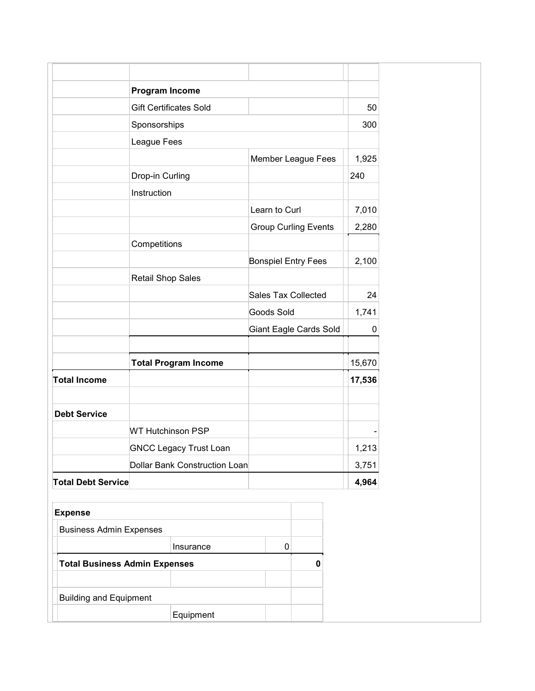|                                | <b>Program Income</b>                |               |                             |        |
|--------------------------------|--------------------------------------|---------------|-----------------------------|--------|
|                                | <b>Gift Certificates Sold</b>        |               |                             | 50     |
|                                | Sponsorships                         |               |                             | 300    |
|                                | League Fees                          |               |                             |        |
|                                |                                      |               | Member League Fees          | 1,925  |
|                                | Drop-in Curling                      |               |                             | 240    |
|                                | Instruction                          |               |                             |        |
|                                |                                      | Learn to Curl |                             | 7,010  |
|                                |                                      |               | <b>Group Curling Events</b> | 2,280  |
|                                | Competitions                         |               |                             |        |
|                                |                                      |               | <b>Bonspiel Entry Fees</b>  | 2,100  |
|                                | <b>Retail Shop Sales</b>             |               |                             |        |
|                                |                                      |               | Sales Tax Collected         | 24     |
|                                |                                      | Goods Sold    |                             | 1,741  |
|                                |                                      |               | Giant Eagle Cards Sold      | 0      |
|                                |                                      |               |                             |        |
|                                | <b>Total Program Income</b>          |               |                             | 15,670 |
| <b>Total Income</b>            |                                      |               |                             | 17,536 |
|                                |                                      |               |                             |        |
| <b>Debt Service</b>            |                                      |               |                             |        |
|                                | <b>WT Hutchinson PSP</b>             |               |                             |        |
|                                | <b>GNCC Legacy Trust Loan</b>        |               |                             | 1,213  |
|                                | Dollar Bank Construction Loan        |               |                             | 3,751  |
| <b>Total Debt Service</b>      |                                      |               |                             | 4,964  |
|                                |                                      |               |                             |        |
| <b>Expense</b>                 |                                      |               |                             |        |
| <b>Business Admin Expenses</b> |                                      |               |                             |        |
|                                | Insurance                            | 0             |                             |        |
|                                | <b>Total Business Admin Expenses</b> |               | $\pmb{0}$                   |        |
|                                |                                      |               |                             |        |
| <b>Building and Equipment</b>  |                                      |               |                             |        |
|                                | Equipment                            |               |                             |        |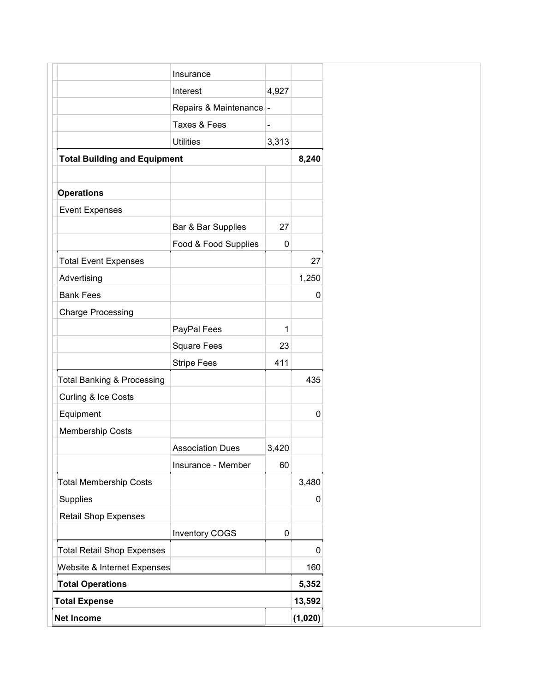|                                       | Insurance                |       |         |
|---------------------------------------|--------------------------|-------|---------|
|                                       | Interest                 | 4,927 |         |
|                                       | Repairs & Maintenance  - |       |         |
|                                       | Taxes & Fees             |       |         |
|                                       | <b>Utilities</b>         | 3,313 |         |
| <b>Total Building and Equipment</b>   |                          |       | 8,240   |
|                                       |                          |       |         |
| <b>Operations</b>                     |                          |       |         |
| <b>Event Expenses</b>                 |                          |       |         |
|                                       | Bar & Bar Supplies       | 27    |         |
|                                       | Food & Food Supplies     | 0     |         |
| <b>Total Event Expenses</b>           |                          |       | 27      |
| Advertising                           |                          |       | 1,250   |
| <b>Bank Fees</b>                      |                          |       | 0       |
| <b>Charge Processing</b>              |                          |       |         |
|                                       | PayPal Fees              | 1     |         |
|                                       | <b>Square Fees</b>       | 23    |         |
|                                       | <b>Stripe Fees</b>       | 411   |         |
| <b>Total Banking &amp; Processing</b> |                          |       | 435     |
| Curling & Ice Costs                   |                          |       |         |
| Equipment                             |                          |       | 0       |
| <b>Membership Costs</b>               |                          |       |         |
|                                       | <b>Association Dues</b>  | 3,420 |         |
|                                       | Insurance - Member       | 60    |         |
| <b>Total Membership Costs</b>         |                          |       | 3,480   |
| Supplies                              |                          |       | 0       |
| <b>Retail Shop Expenses</b>           |                          |       |         |
|                                       | <b>Inventory COGS</b>    | 0     |         |
| <b>Total Retail Shop Expenses</b>     |                          |       | 0       |
| Website & Internet Expenses           |                          |       | 160     |
| <b>Total Operations</b>               |                          |       | 5,352   |
| <b>Total Expense</b>                  |                          |       | 13,592  |
| <b>Net Income</b>                     |                          |       | (1,020) |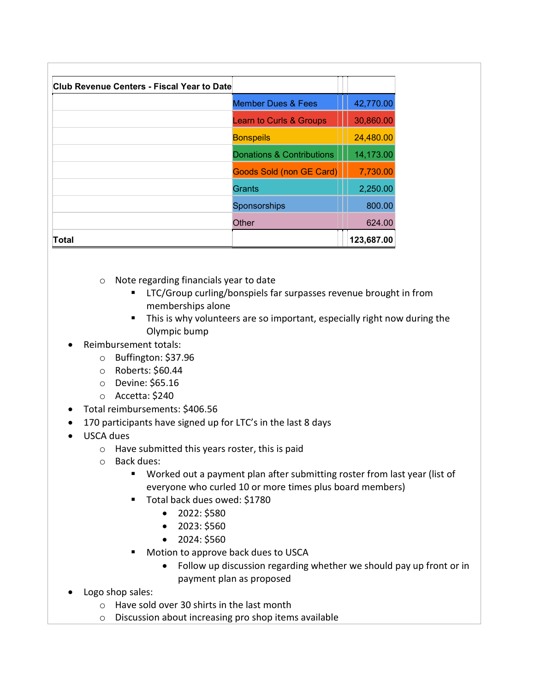| Club Revenue Centers - Fiscal Year to Date |                                    |            |
|--------------------------------------------|------------------------------------|------------|
|                                            | <b>Member Dues &amp; Fees</b>      | 42,770.00  |
|                                            | <b>Learn to Curls &amp; Groups</b> | 30,860.00  |
|                                            | <b>Bonspeils</b>                   | 24,480.00  |
|                                            | Donations & Contributions          | 14,173.00  |
|                                            | <b>Goods Sold (non GE Card)</b>    | 7,730.00   |
|                                            | Grants                             | 2,250.00   |
|                                            | Sponsorships                       | 800.00     |
|                                            | Other                              | 624.00     |
| Total                                      |                                    | 123,687.00 |

- o Note regarding financials year to date
	- **EXEC/Group curling/bonspiels far surpasses revenue brought in from** memberships alone
	- **This is why volunteers are so important, especially right now during the** Olympic bump
- Reimbursement totals:
	- o Buffington: \$37.96
	- o Roberts: \$60.44
	- o Devine: \$65.16
	- o Accetta: \$240
- Total reimbursements: \$406.56
- 170 participants have signed up for LTC's in the last 8 days
- USCA dues
	- o Have submitted this years roster, this is paid
	- o Back dues:
		- Worked out a payment plan after submitting roster from last year (list of everyone who curled 10 or more times plus board members)
		- Total back dues owed: \$1780
			- $\bullet$  2022: \$580
			- $\bullet$  2023: \$560
			- $\bullet$  2024: \$560
		- **Motion to approve back dues to USCA** 
			- Follow up discussion regarding whether we should pay up front or in payment plan as proposed
- Logo shop sales:
	- o Have sold over 30 shirts in the last month
	- o Discussion about increasing pro shop items available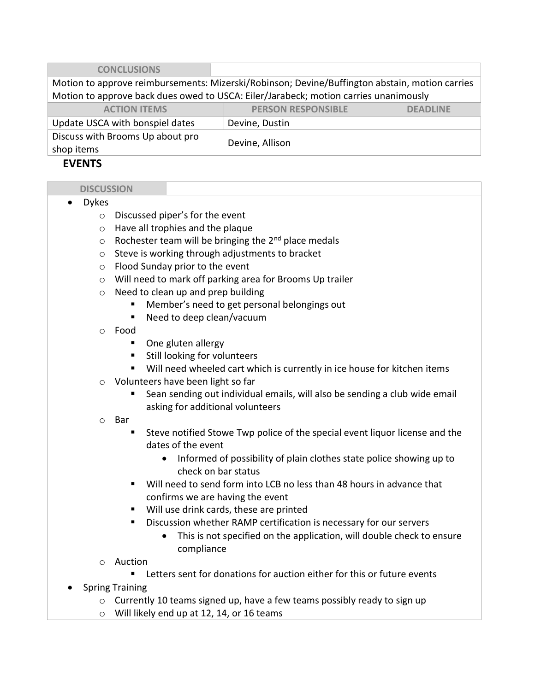| <b>CONCLUSIONS</b>                                                                             |                           |                 |  |
|------------------------------------------------------------------------------------------------|---------------------------|-----------------|--|
| Motion to approve reimbursements: Mizerski/Robinson; Devine/Buffington abstain, motion carries |                           |                 |  |
| Motion to approve back dues owed to USCA: Eiler/Jarabeck; motion carries unanimously           |                           |                 |  |
| <b>ACTION ITEMS</b>                                                                            | <b>PERSON RESPONSIBLE</b> | <b>DEADLINE</b> |  |
| Update USCA with bonspiel dates                                                                | Devine, Dustin            |                 |  |
| Discuss with Brooms Up about pro<br>shop items                                                 | Devine, Allison           |                 |  |

### EVENTS

### **DISCUSSION**

- Dykes
	- o Discussed piper's for the event
	- o Have all trophies and the plaque
	- $\circ$  Rochester team will be bringing the 2<sup>nd</sup> place medals
	- o Steve is working through adjustments to bracket
	- o Flood Sunday prior to the event
	- o Will need to mark off parking area for Brooms Up trailer
	- o Need to clean up and prep building
		- **Member's need to get personal belongings out**
		- Need to deep clean/vacuum
	- o Food
		- One gluten allergy
		- **Still looking for volunteers**
		- Will need wheeled cart which is currently in ice house for kitchen items
	- o Volunteers have been light so far
		- Sean sending out individual emails, will also be sending a club wide email asking for additional volunteers
	- o Bar
		- Steve notified Stowe Twp police of the special event liquor license and the dates of the event
			- Informed of possibility of plain clothes state police showing up to check on bar status
		- Will need to send form into LCB no less than 48 hours in advance that confirms we are having the event
		- Will use drink cards, these are printed
		- **Discussion whether RAMP certification is necessary for our servers** 
			- This is not specified on the application, will double check to ensure compliance
	- o Auction
		- Letters sent for donations for auction either for this or future events
- Spring Training
	- $\circ$  Currently 10 teams signed up, have a few teams possibly ready to sign up
	- o Will likely end up at 12, 14, or 16 teams